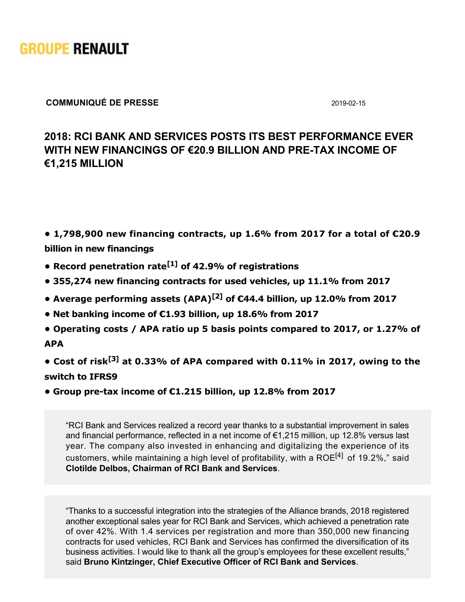

#### **COMMUNIQUÉ DE PRESSE** 20190215

#### **2018: RCI BANK AND SERVICES POSTS ITS BEST PERFORMANCE EVER WITH NEW FINANCINGS OF €20.9 BILLION AND PRETAX INCOME OF €1,215 MILLION**

**• 1,798,900 new financing contracts, up 1.6% from 2017 for a total of €20.9 billion in new financings**

- **Record penetration rate[1] of 42.9% of registrations**
- **355,274 new financing contracts for used vehicles, up 11.1% from 2017**
- **Average performing assets (APA)[2] of €44.4 billion, up 12.0% from 2017**
- **Net banking income of €1.93 billion, up 18.6% from 2017**
- **Operating costs / APA ratio up 5 basis points compared to 2017, or 1.27% of APA**

**• Cost of risk[3] at 0.33% of APA compared with 0.11% in 2017, owing to the switch to IFRS9**

**• Group pre-tax income of €1.215 billion, up 12.8% from 2017** 

"RCI Bank and Services realized a record year thanks to a substantial improvement in sales and financial performance, reflected in a net income of €1,215 million, up 12.8% versus last year. The company also invested in enhancing and digitalizing the experience of its customers, while maintaining a high level of profitability, with a ROE<sup>[4]</sup> of 19.2%," said **Clotilde Delbos, Chairman of RCI Bank and Services**.

"Thanks to a successful integration into the strategies of the Alliance brands, 2018 registered another exceptional sales year for RCI Bank and Services, which achieved a penetration rate of over 42%. With 1.4 services per registration and more than 350,000 new financing contracts for used vehicles, RCI Bank and Services has confirmed the diversification of its business activities. I would like to thank all the group's employees for these excellent results," said **Bruno Kintzinger, Chief Executive Officer of RCI Bank and Services**.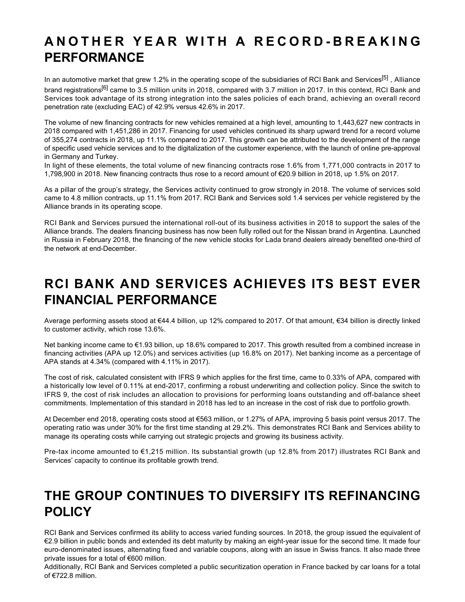### **ANOTHER YEAR WITH A RECORD-BREAKING PERFORMANCE**

In an automotive market that grew 1.2% in the operating scope of the subsidiaries of RCI Bank and Services<sup>[5]</sup> , Alliance brand registrations<sup>[6]</sup> came to 3.5 million units in 2018, compared with 3.7 million in 2017. In this context, RCI Bank and Services took advantage of its strong integration into the sales policies of each brand, achieving an overall record penetration rate (excluding EAC) of 42.9% versus 42.6% in 2017.

The volume of new financing contracts for new vehicles remained at a high level, amounting to 1,443,627 new contracts in 2018 compared with 1,451,286 in 2017. Financing for used vehicles continued its sharp upward trend for a record volume of 355,274 contracts in 2018, up 11.1% compared to 2017. This growth can be attributed to the development of the range of specific used vehicle services and to the digitalization of the customer experience, with the launch of online pre-approval in Germany and Turkey.

In light of these elements, the total volume of new financing contracts rose 1.6% from 1,771,000 contracts in 2017 to 1,798,900 in 2018. New financing contracts thus rose to a record amount of €20.9 billion in 2018, up 1.5% on 2017.

As a pillar of the group's strategy, the Services activity continued to grow strongly in 2018. The volume of services sold came to 4.8 million contracts, up 11.1% from 2017. RCI Bank and Services sold 1.4 services per vehicle registered by the Alliance brands in its operating scope.

RCI Bank and Services pursued the international roll-out of its business activities in 2018 to support the sales of the Alliance brands. The dealers financing business has now been fully rolled out for the Nissan brand in Argentina. Launched in Russia in February 2018, the financing of the new vehicle stocks for Lada brand dealers already benefited one-third of the network at end-December.

# **RCI BANK AND SERVICES ACHIEVES ITS BEST EVER FINANCIAL PERFORMANCE**

Average performing assets stood at €44.4 billion, up 12% compared to 2017. Of that amount, €34 billion is directly linked to customer activity, which rose 13.6%.

Net banking income came to €1.93 billion, up 18.6% compared to 2017. This growth resulted from a combined increase in financing activities (APA up 12.0%) and services activities (up 16.8% on 2017). Net banking income as a percentage of APA stands at 4.34% (compared with 4.11% in 2017).

The cost of risk, calculated consistent with IFRS 9 which applies for the first time, came to 0.33% of APA, compared with a historically low level of 0.11% at end-2017, confirming a robust underwriting and collection policy. Since the switch to IFRS 9, the cost of risk includes an allocation to provisions for performing loans outstanding and off-balance sheet commitments. Implementation of this standard in 2018 has led to an increase in the cost of risk due to portfolio growth.

At December end 2018, operating costs stood at €563 million, or 1.27% of APA, improving 5 basis point versus 2017. The operating ratio was under 30% for the first time standing at 29.2%. This demonstrates RCI Bank and Services ability to manage its operating costs while carrying out strategic projects and growing its business activity.

Pre-tax income amounted to €1,215 million. Its substantial growth (up 12.8% from 2017) illustrates RCI Bank and Services' capacity to continue its profitable growth trend.

#### **THE GROUP CONTINUES TO DIVERSIFY ITS REFINANCING POLICY**

RCI Bank and Services confirmed its ability to access varied funding sources. In 2018, the group issued the equivalent of €2.9 billion in public bonds and extended its debt maturity by making an eight-year issue for the second time. It made four euro-denominated issues, alternating fixed and variable coupons, along with an issue in Swiss francs. It also made three private issues for a total of €600 million.

Additionally, RCI Bank and Services completed a public securitization operation in France backed by car loans for a total of €722.8 million.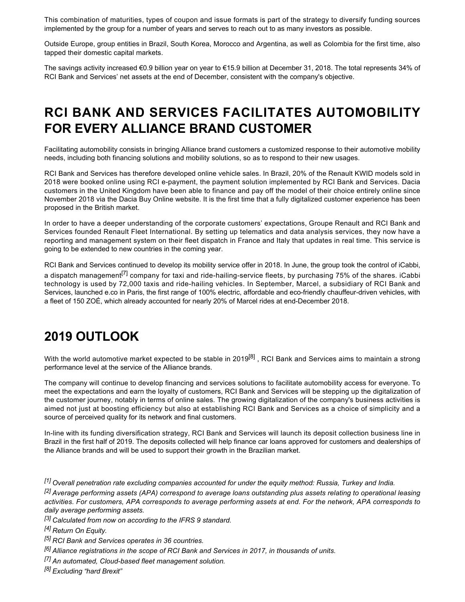This combination of maturities, types of coupon and issue formats is part of the strategy to diversify funding sources implemented by the group for a number of years and serves to reach out to as many investors as possible.

Outside Europe, group entities in Brazil, South Korea, Morocco and Argentina, as well as Colombia for the first time, also tapped their domestic capital markets.

The savings activity increased €0.9 billion year on year to €15.9 billion at December 31, 2018. The total represents 34% of RCI Bank and Services' net assets at the end of December, consistent with the company's objective.

# **RCI BANK AND SERVICES FACILITATES AUTOMOBILITY FOR EVERY ALLIANCE BRAND CUSTOMER**

Facilitating automobility consists in bringing Alliance brand customers a customized response to their automotive mobility needs, including both financing solutions and mobility solutions, so as to respond to their new usages.

RCI Bank and Services has therefore developed online vehicle sales. In Brazil, 20% of the Renault KWID models sold in 2018 were booked online using RCI e-payment, the payment solution implemented by RCI Bank and Services. Dacia customers in the United Kingdom have been able to finance and pay off the model of their choice entirely online since November 2018 via the Dacia Buy Online website. It is the first time that a fully digitalized customer experience has been proposed in the British market.

In order to have a deeper understanding of the corporate customers' expectations, Groupe Renault and RCI Bank and Services founded Renault Fleet International. By setting up telematics and data analysis services, they now have a reporting and management system on their fleet dispatch in France and Italy that updates in real time. This service is going to be extended to new countries in the coming year.

RCI Bank and Services continued to develop its mobility service offer in 2018. In June, the group took the control of iCabbi, a dispatch management<sup>[7]</sup> company for taxi and ride-hailing-service fleets, by purchasing 75% of the shares. iCabbi technology is used by 72,000 taxis and ride-hailing vehicles. In September, Marcel, a subsidiary of RCI Bank and Services, launched e.co in Paris, the first range of 100% electric, affordable and eco-friendly chauffeur-driven vehicles, with a fleet of 150 ZOÉ, which already accounted for nearly 20% of Marcel rides at end-December 2018.

#### **2019 OUTLOOK**

With the world automotive market expected to be stable in 2019<sup>[8]</sup>, RCI Bank and Services aims to maintain a strong performance level at the service of the Alliance brands.

The company will continue to develop financing and services solutions to facilitate automobility access for everyone. To meet the expectations and earn the loyalty of customers, RCI Bank and Services will be stepping up the digitalization of the customer journey, notably in terms of online sales. The growing digitalization of the company's business activities is aimed not just at boosting efficiency but also at establishing RCI Bank and Services as a choice of simplicity and a source of perceived quality for its network and final customers.

In-line with its funding diversification strategy, RCI Bank and Services will launch its deposit collection business line in Brazil in the first half of 2019. The deposits collected will help finance car loans approved for customers and dealerships of the Alliance brands and will be used to support their growth in the Brazilian market.

*[1] Overall penetration rate excluding companies accounted for under the equity method: Russia, Turkey and India.*

*[2] Average performing assets (APA) correspond to average loans outstanding plus assets relating to operational leasing activities. For customers, APA corresponds to average performing assets at end. For the network, APA corresponds to daily average performing assets.*

*[3] Calculated from now on according to the IFRS 9 standard.*

*[4] Return On Equity.*

*[5] RCI Bank and Services operates in 36 countries.*

*[6] Alliance registrations in the scope of RCI Bank and Services in 2017, in thousands of units.*

*[7] An automated, Cloudbased fleet management solution.* 

*[8] Excluding "hard Brexit"*